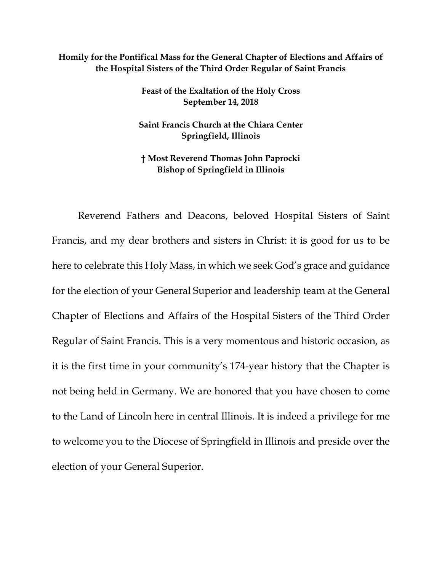## **Homily for the Pontifical Mass for the General Chapter of Elections and Affairs of the Hospital Sisters of the Third Order Regular of Saint Francis**

**Feast of the Exaltation of the Holy Cross September 14, 2018**

**Saint Francis Church at the Chiara Center Springfield, Illinois**

**† Most Reverend Thomas John Paprocki Bishop of Springfield in Illinois**

Reverend Fathers and Deacons, beloved Hospital Sisters of Saint Francis, and my dear brothers and sisters in Christ: it is good for us to be here to celebrate this Holy Mass, in which we seek God's grace and guidance for the election of your General Superior and leadership team at the General Chapter of Elections and Affairs of the Hospital Sisters of the Third Order Regular of Saint Francis. This is a very momentous and historic occasion, as it is the first time in your community's 174-year history that the Chapter is not being held in Germany. We are honored that you have chosen to come to the Land of Lincoln here in central Illinois. It is indeed a privilege for me to welcome you to the Diocese of Springfield in Illinois and preside over the election of your General Superior.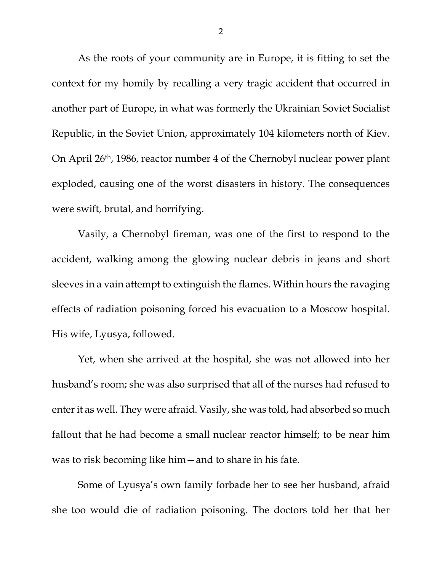As the roots of your community are in Europe, it is fitting to set the context for my homily by recalling a very tragic accident that occurred in another part of Europe, in what was formerly the Ukrainian Soviet Socialist Republic, in the Soviet Union, approximately 104 kilometers north of Kiev. On April 26th, 1986, reactor number 4 of the Chernobyl nuclear power plant exploded, causing one of the worst disasters in history. The consequences were swift, brutal, and horrifying.

Vasily, a Chernobyl fireman, was one of the first to respond to the accident, walking among the glowing nuclear debris in jeans and short sleeves in a vain attempt to extinguish the flames. Within hours the ravaging effects of radiation poisoning forced his evacuation to a Moscow hospital. His wife, Lyusya, followed.

Yet, when she arrived at the hospital, she was not allowed into her husband's room; she was also surprised that all of the nurses had refused to enter it as well. They were afraid. Vasily, she was told, had absorbed so much fallout that he had become a small nuclear reactor himself; to be near him was to risk becoming like him—and to share in his fate.

Some of Lyusya's own family forbade her to see her husband, afraid she too would die of radiation poisoning. The doctors told her that her

2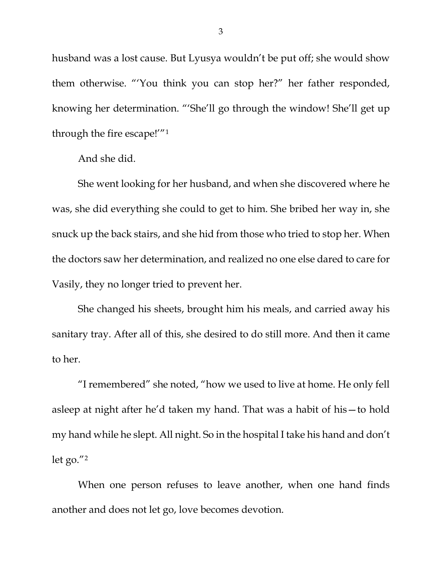husband was a lost cause. But Lyusya wouldn't be put off; she would show them otherwise. "'You think you can stop her?" her father responded, knowing her determination. "'She'll go through the window! She'll get up through the fire escape!'["1](#page-5-0)

And she did.

She went looking for her husband, and when she discovered where he was, she did everything she could to get to him. She bribed her way in, she snuck up the back stairs, and she hid from those who tried to stop her. When the doctors saw her determination, and realized no one else dared to care for Vasily, they no longer tried to prevent her.

She changed his sheets, brought him his meals, and carried away his sanitary tray. After all of this, she desired to do still more. And then it came to her.

"I remembered" she noted, "how we used to live at home. He only fell asleep at night after he'd taken my hand. That was a habit of his—to hold my hand while he slept. All night. So in the hospital I take his hand and don't let go."[2](#page-5-1)

When one person refuses to leave another, when one hand finds another and does not let go, love becomes devotion.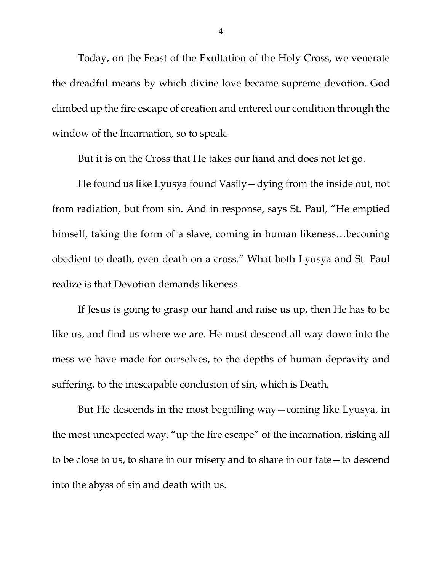Today, on the Feast of the Exultation of the Holy Cross, we venerate the dreadful means by which divine love became supreme devotion. God climbed up the fire escape of creation and entered our condition through the window of the Incarnation, so to speak.

But it is on the Cross that He takes our hand and does not let go.

He found us like Lyusya found Vasily—dying from the inside out, not from radiation, but from sin. And in response, says St. Paul, "He emptied himself, taking the form of a slave, coming in human likeness…becoming obedient to death, even death on a cross." What both Lyusya and St. Paul realize is that Devotion demands likeness.

If Jesus is going to grasp our hand and raise us up, then He has to be like us, and find us where we are. He must descend all way down into the mess we have made for ourselves, to the depths of human depravity and suffering, to the inescapable conclusion of sin, which is Death.

But He descends in the most beguiling way—coming like Lyusya, in the most unexpected way, "up the fire escape" of the incarnation, risking all to be close to us, to share in our misery and to share in our fate—to descend into the abyss of sin and death with us.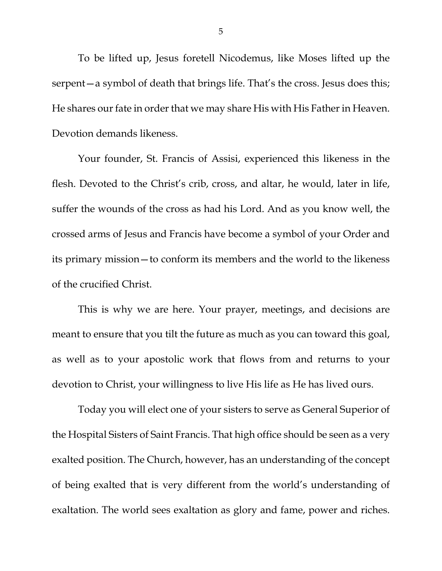To be lifted up, Jesus foretell Nicodemus, like Moses lifted up the serpent—a symbol of death that brings life. That's the cross. Jesus does this; He shares our fate in order that we may share His with His Father in Heaven. Devotion demands likeness.

Your founder, St. Francis of Assisi, experienced this likeness in the flesh. Devoted to the Christ's crib, cross, and altar, he would, later in life, suffer the wounds of the cross as had his Lord. And as you know well, the crossed arms of Jesus and Francis have become a symbol of your Order and its primary mission—to conform its members and the world to the likeness of the crucified Christ.

This is why we are here. Your prayer, meetings, and decisions are meant to ensure that you tilt the future as much as you can toward this goal, as well as to your apostolic work that flows from and returns to your devotion to Christ, your willingness to live His life as He has lived ours.

Today you will elect one of your sisters to serve as General Superior of the Hospital Sisters of Saint Francis. That high office should be seen as a very exalted position. The Church, however, has an understanding of the concept of being exalted that is very different from the world's understanding of exaltation. The world sees exaltation as glory and fame, power and riches.

5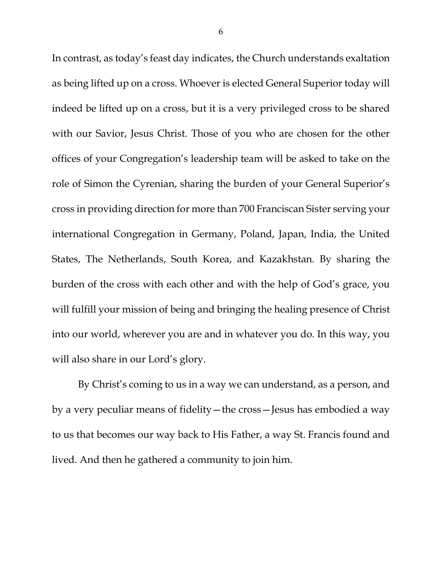In contrast, as today's feast day indicates, the Church understands exaltation as being lifted up on a cross. Whoever is elected General Superior today will indeed be lifted up on a cross, but it is a very privileged cross to be shared with our Savior, Jesus Christ. Those of you who are chosen for the other offices of your Congregation's leadership team will be asked to take on the role of Simon the Cyrenian, sharing the burden of your General Superior's cross in providing direction for more than 700 Franciscan Sister serving your international Congregation in Germany, Poland, Japan, India, the United States, The Netherlands, South Korea, and Kazakhstan. By sharing the burden of the cross with each other and with the help of God's grace, you will fulfill your mission of being and bringing the healing presence of Christ into our world, wherever you are and in whatever you do. In this way, you will also share in our Lord's glory.

<span id="page-5-1"></span><span id="page-5-0"></span>By Christ's coming to us in a way we can understand, as a person, and by a very peculiar means of fidelity—the cross—Jesus has embodied a way to us that becomes our way back to His Father, a way St. Francis found and lived. And then he gathered a community to join him.